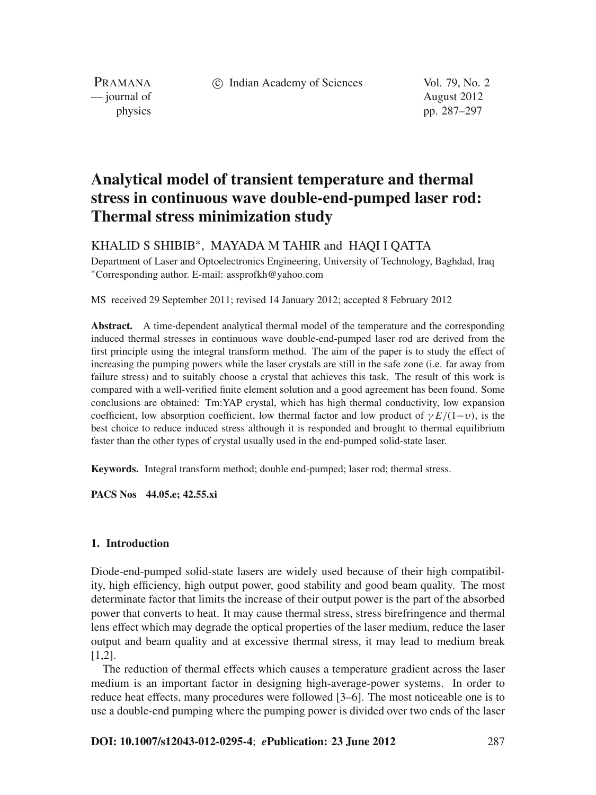c Indian Academy of Sciences Vol. 79, No. 2

PRAMANA — journal of August 2012

physics pp. 287–297

# **Analytical model of transient temperature and thermal stress in continuous wave double-end-pumped laser rod: Thermal stress minimization study**

# KHALID S SHIBIB∗, MAYADA M TAHIR and HAQI I QATTA

Department of Laser and Optoelectronics Engineering, University of Technology, Baghdad, Iraq <sup>∗</sup>Corresponding author. E-mail: assprofkh@yahoo.com

MS received 29 September 2011; revised 14 January 2012; accepted 8 February 2012

**Abstract.** A time-dependent analytical thermal model of the temperature and the corresponding induced thermal stresses in continuous wave double-end-pumped laser rod are derived from the first principle using the integral transform method. The aim of the paper is to study the effect of increasing the pumping powers while the laser crystals are still in the safe zone (i.e. far away from failure stress) and to suitably choose a crystal that achieves this task. The result of this work is compared with a well-verified finite element solution and a good agreement has been found. Some conclusions are obtained: Tm:YAP crystal, which has high thermal conductivity, low expansion coefficient, low absorption coefficient, low thermal factor and low product of  $\gamma E/(1-\nu)$ , is the best choice to reduce induced stress although it is responded and brought to thermal equilibrium faster than the other types of crystal usually used in the end-pumped solid-state laser.

**Keywords.** Integral transform method; double end-pumped; laser rod; thermal stress.

**PACS Nos 44.05.e; 42.55.xi**

### **1. Introduction**

Diode-end-pumped solid-state lasers are widely used because of their high compatibility, high efficiency, high output power, good stability and good beam quality. The most determinate factor that limits the increase of their output power is the part of the absorbed power that converts to heat. It may cause thermal stress, stress birefringence and thermal lens effect which may degrade the optical properties of the laser medium, reduce the laser output and beam quality and at excessive thermal stress, it may lead to medium break [1,2].

The reduction of thermal effects which causes a temperature gradient across the laser medium is an important factor in designing high-average-power systems. In order to reduce heat effects, many procedures were followed [3–6]. The most noticeable one is to use a double-end pumping where the pumping power is divided over two ends of the laser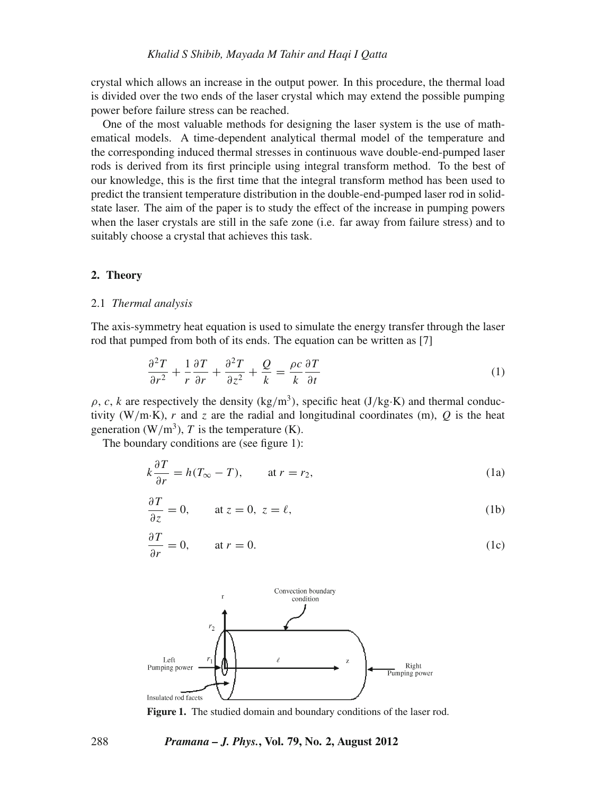crystal which allows an increase in the output power. In this procedure, the thermal load is divided over the two ends of the laser crystal which may extend the possible pumping power before failure stress can be reached.

One of the most valuable methods for designing the laser system is the use of mathematical models. A time-dependent analytical thermal model of the temperature and the corresponding induced thermal stresses in continuous wave double-end-pumped laser rods is derived from its first principle using integral transform method. To the best of our knowledge, this is the first time that the integral transform method has been used to predict the transient temperature distribution in the double-end-pumped laser rod in solidstate laser. The aim of the paper is to study the effect of the increase in pumping powers when the laser crystals are still in the safe zone (i.e. far away from failure stress) and to suitably choose a crystal that achieves this task.

#### **2. Theory**

#### 2.1 *Thermal analysis*

The axis-symmetry heat equation is used to simulate the energy transfer through the laser rod that pumped from both of its ends. The equation can be written as [7]

$$
\frac{\partial^2 T}{\partial r^2} + \frac{1}{r} \frac{\partial T}{\partial r} + \frac{\partial^2 T}{\partial z^2} + \frac{Q}{k} = \frac{\rho c}{k} \frac{\partial T}{\partial t}
$$
(1)

 $\rho$ , *c*, *k* are respectively the density (kg/m<sup>3</sup>), specific heat (J/kg·K) and thermal conductivity (W/m·K),  $r$  and  $z$  are the radial and longitudinal coordinates (m),  $Q$  is the heat generation  $(W/m^3)$ , *T* is the temperature (K).

The boundary conditions are (see figure 1):

$$
k\frac{\partial T}{\partial r} = h(T_{\infty} - T), \qquad \text{at } r = r_2,
$$
 (1a)

$$
\frac{\partial T}{\partial z} = 0, \quad \text{at } z = 0, \ z = \ell,
$$
\n(1b)

$$
\frac{\partial T}{\partial r} = 0, \qquad \text{at } r = 0.
$$
 (1c)



**Figure 1.** The studied domain and boundary conditions of the laser rod.

288 *Pramana – J. Phys.***, Vol. 79, No. 2, August 2012**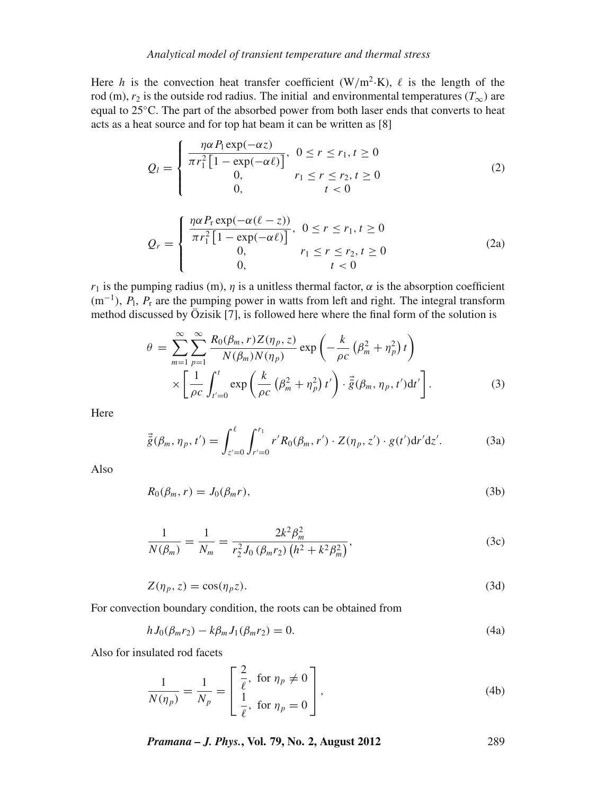Here *h* is the convection heat transfer coefficient (W/m<sup>2</sup>·K),  $\ell$  is the length of the rod (m),  $r_2$  is the outside rod radius. The initial and environmental temperatures ( $T_\infty$ ) are equal to 25◦C. The part of the absorbed power from both laser ends that converts to heat acts as a heat source and for top hat beam it can be written as [8]

$$
Q_{l} = \begin{cases} \frac{\eta \alpha P_{1} \exp(-\alpha z)}{\pi r_{1}^{2} \left[1 - \exp(-\alpha \ell)\right]}, & 0 \leq r \leq r_{1}, t \geq 0\\ 0, & r_{1} \leq r \leq r_{2}, t \geq 0\\ 0, & t < 0 \end{cases}
$$
(2)

$$
Q_r = \begin{cases} \frac{\eta \alpha P_r \exp(-\alpha(\ell - z))}{\pi r_1^2 \left[1 - \exp(-\alpha \ell)\right]}, & 0 \le r \le r_1, t \ge 0\\ 0, & r_1 \le r \le r_2, t \ge 0\\ 0, & t < 0 \end{cases}
$$
(2a)

 $r_1$  is the pumping radius (m),  $\eta$  is a unitless thermal factor,  $\alpha$  is the absorption coefficient (m<sup>-1</sup>), *P*<sub>1</sub>, *P*<sub>r</sub> are the pumping power in watts from left and right. The integral transform method discussed by Özisik [7], is followed here where the final form of the solution is

$$
\theta = \sum_{m=1}^{\infty} \sum_{p=1}^{\infty} \frac{R_0(\beta_m, r) Z(\eta_p, z)}{N(\beta_m) N(\eta_p)} \exp\left(-\frac{k}{\rho c} \left(\beta_m^2 + \eta_p^2\right) t\right)
$$
  
 
$$
\times \left[\frac{1}{\rho c} \int_{t'=0}^t \exp\left(\frac{k}{\rho c} \left(\beta_m^2 + \eta_p^2\right) t'\right) \cdot \vec{\tilde{g}}(\beta_m, \eta_p, t') dt'\right].
$$
 (3)

Here

$$
\vec{\bar{g}}(\beta_m, \eta_p, t') = \int_{z'=0}^{\ell} \int_{r'=0}^{r_1} r' R_0(\beta_m, r') \cdot Z(\eta_p, z') \cdot g(t') dr' dz'. \tag{3a}
$$

Also

$$
R_0(\beta_m, r) = J_0(\beta_m r),\tag{3b}
$$

$$
\frac{1}{N(\beta_m)} = \frac{1}{N_m} = \frac{2k^2 \beta_m^2}{r_2^2 J_0 \left(\beta_m r_2\right) \left(h^2 + k^2 \beta_m^2\right)},\tag{3c}
$$

$$
Z(\eta_p, z) = \cos(\eta_p z). \tag{3d}
$$

For convection boundary condition, the roots can be obtained from

$$
hJ_0(\beta_m r_2) - k\beta_m J_1(\beta_m r_2) = 0.
$$
\n(4a)

Also for insulated rod facets

$$
\frac{1}{N(\eta_p)} = \frac{1}{N_p} = \begin{bmatrix} \frac{2}{\ell}, & \text{for } \eta_p \neq 0\\ \frac{1}{\ell}, & \text{for } \eta_p = 0 \end{bmatrix},\tag{4b}
$$

*Pramana – J. Phys.***, Vol. 79, No. 2, August 2012** 289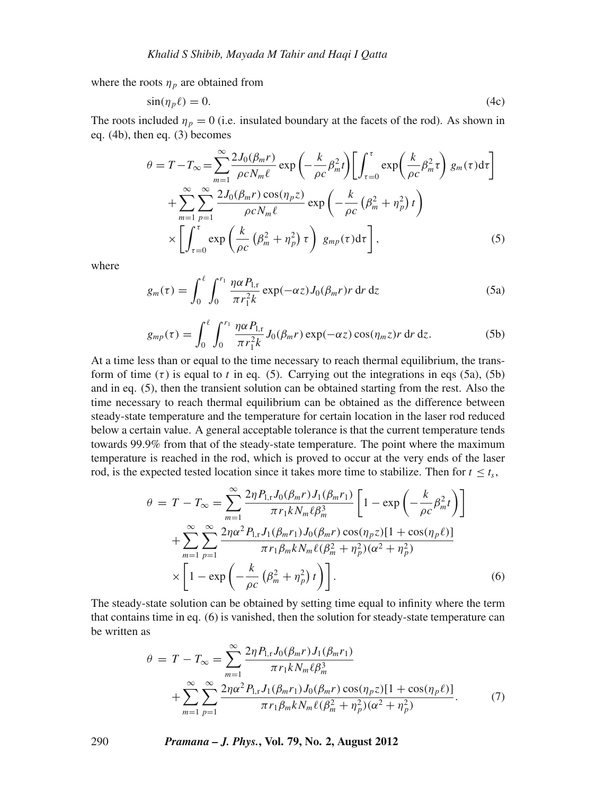where the roots  $\eta_p$  are obtained from

$$
\sin(\eta_p \ell) = 0. \tag{4c}
$$

The roots included  $\eta_p = 0$  (i.e. insulated boundary at the facets of the rod). As shown in eq. (4b), then eq. (3) becomes

$$
\theta = T - T_{\infty} = \sum_{m=1}^{\infty} \frac{2J_0(\beta_m r)}{\rho c N_m \ell} \exp\left(-\frac{k}{\rho c} \beta_m^2 t\right) \left[\int_{\tau=0}^{\tau} \exp\left(\frac{k}{\rho c} \beta_m^2 \tau\right) g_m(\tau) d\tau\right]
$$

$$
+ \sum_{m=1}^{\infty} \sum_{p=1}^{\infty} \frac{2J_0(\beta_m r) \cos(\eta_p z)}{\rho c N_m \ell} \exp\left(-\frac{k}{\rho c} \left(\beta_m^2 + \eta_p^2\right) t\right)
$$

$$
\times \left[\int_{\tau=0}^{\tau} \exp\left(\frac{k}{\rho c} \left(\beta_m^2 + \eta_p^2\right) \tau\right) g_{mp}(\tau) d\tau\right],
$$
(5)

where

$$
g_m(\tau) = \int_0^{\ell} \int_0^{r_1} \frac{\eta \alpha P_{1,r}}{\pi r_1^2 k} \exp(-\alpha z) J_0(\beta_m r) r \, dr \, dz \tag{5a}
$$

$$
g_{mp}(\tau) = \int_0^\ell \int_0^{r_1} \frac{\eta \alpha P_{1,r}}{\pi r_1^2 k} J_0(\beta_m r) \exp(-\alpha z) \cos(\eta_m z) r \, dr \, dz. \tag{5b}
$$

At a time less than or equal to the time necessary to reach thermal equilibrium, the transform of time  $(\tau)$  is equal to *t* in eq. (5). Carrying out the integrations in eqs (5a), (5b) and in eq. (5), then the transient solution can be obtained starting from the rest. Also the time necessary to reach thermal equilibrium can be obtained as the difference between steady-state temperature and the temperature for certain location in the laser rod reduced below a certain value. A general acceptable tolerance is that the current temperature tends towards 99.9% from that of the steady-state temperature. The point where the maximum temperature is reached in the rod, which is proved to occur at the very ends of the laser rod, is the expected tested location since it takes more time to stabilize. Then for  $t \leq t_s$ ,

$$
\theta = T - T_{\infty} = \sum_{m=1}^{\infty} \frac{2\eta P_{1,r} J_0(\beta_m r) J_1(\beta_m r_1)}{\pi r_1 k N_m \ell \beta_m^3} \left[ 1 - \exp\left( -\frac{k}{\rho c} \beta_m^2 t \right) \right]
$$
  
+ 
$$
\sum_{m=1}^{\infty} \sum_{p=1}^{\infty} \frac{2\eta \alpha^2 P_{1,r} J_1(\beta_m r_1) J_0(\beta_m r) \cos(\eta_p z) [1 + \cos(\eta_p \ell)]}{\pi r_1 \beta_m k N_m \ell (\beta_m^2 + \eta_p^2) (\alpha^2 + \eta_p^2)}
$$
  
× 
$$
\left[ 1 - \exp\left( -\frac{k}{\rho c} \left( \beta_m^2 + \eta_p^2 \right) t \right) \right].
$$
 (6)

The steady-state solution can be obtained by setting time equal to infinity where the term that contains time in eq. (6) is vanished, then the solution for steady-state temperature can be written as

$$
\theta = T - T_{\infty} = \sum_{m=1}^{\infty} \frac{2\eta P_{1,r} J_0(\beta_m r) J_1(\beta_m r_1)}{\pi r_1 k N_m \ell \beta_m^3} + \sum_{m=1}^{\infty} \sum_{p=1}^{\infty} \frac{2\eta \alpha^2 P_{1,r} J_1(\beta_m r_1) J_0(\beta_m r) \cos(\eta_p z) [1 + \cos(\eta_p \ell)]}{\pi r_1 \beta_m k N_m \ell (\beta_m^2 + \eta_p^2) (\alpha^2 + \eta_p^2)}.
$$
(7)

290 *Pramana – J. Phys.***, Vol. 79, No. 2, August 2012**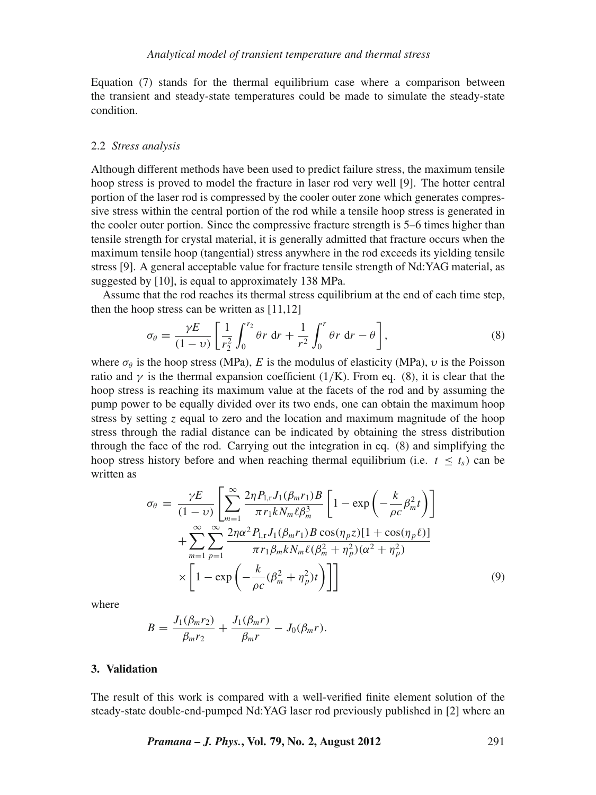Equation (7) stands for the thermal equilibrium case where a comparison between the transient and steady-state temperatures could be made to simulate the steady-state condition.

#### 2.2 *Stress analysis*

Although different methods have been used to predict failure stress, the maximum tensile hoop stress is proved to model the fracture in laser rod very well [9]. The hotter central portion of the laser rod is compressed by the cooler outer zone which generates compressive stress within the central portion of the rod while a tensile hoop stress is generated in the cooler outer portion. Since the compressive fracture strength is 5–6 times higher than tensile strength for crystal material, it is generally admitted that fracture occurs when the maximum tensile hoop (tangential) stress anywhere in the rod exceeds its yielding tensile stress [9]. A general acceptable value for fracture tensile strength of Nd:YAG material, as suggested by [10], is equal to approximately 138 MPa.

Assume that the rod reaches its thermal stress equilibrium at the end of each time step, then the hoop stress can be written as [11,12]

$$
\sigma_{\theta} = \frac{\gamma E}{(1-\nu)} \left[ \frac{1}{r_2^2} \int_0^{r_2} \theta r \, dr + \frac{1}{r^2} \int_0^r \theta r \, dr - \theta \right],\tag{8}
$$

where  $\sigma_{\theta}$  is the hoop stress (MPa), *E* is the modulus of elasticity (MPa), *v* is the Poisson ratio and  $\gamma$  is the thermal expansion coefficient (1/K). From eq. (8), it is clear that the hoop stress is reaching its maximum value at the facets of the rod and by assuming the pump power to be equally divided over its two ends, one can obtain the maximum hoop stress by setting *z* equal to zero and the location and maximum magnitude of the hoop stress through the radial distance can be indicated by obtaining the stress distribution through the face of the rod. Carrying out the integration in eq. (8) and simplifying the hoop stress history before and when reaching thermal equilibrium (i.e.  $t \leq t_s$ ) can be written as

$$
\sigma_{\theta} = \frac{\gamma E}{(1-\upsilon)} \left[ \sum_{m=1}^{\infty} \frac{2\eta P_{1,r} J_1(\beta_m r_1) B}{\pi r_1 k N_m \ell \beta_m^3} \left[ 1 - \exp\left( -\frac{k}{\rho c} \beta_m^2 t \right) \right] + \sum_{m=1}^{\infty} \sum_{p=1}^{\infty} \frac{2\eta \alpha^2 P_{1,r} J_1(\beta_m r_1) B \cos(\eta_p z) [1 + \cos(\eta_p \ell)]}{\pi r_1 \beta_m k N_m \ell (\beta_m^2 + \eta_p^2)(\alpha^2 + \eta_p^2)} \right] \times \left[ 1 - \exp\left( -\frac{k}{\rho c} (\beta_m^2 + \eta_p^2) t \right) \right] \right]
$$
(9)

where

$$
B = \frac{J_1(\beta_m r_2)}{\beta_m r_2} + \frac{J_1(\beta_m r)}{\beta_m r} - J_0(\beta_m r).
$$

#### **3. Validation**

The result of this work is compared with a well-verified finite element solution of the steady-state double-end-pumped Nd:YAG laser rod previously published in [2] where an

*Pramana – J. Phys.***, Vol. 79, No. 2, August 2012** 291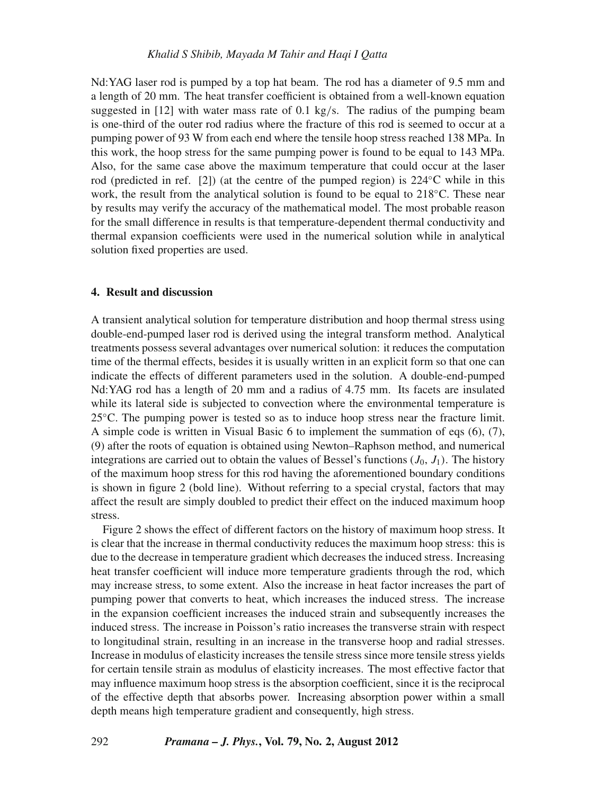Nd:YAG laser rod is pumped by a top hat beam. The rod has a diameter of 9.5 mm and a length of 20 mm. The heat transfer coefficient is obtained from a well-known equation suggested in  $[12]$  with water mass rate of 0.1 kg/s. The radius of the pumping beam is one-third of the outer rod radius where the fracture of this rod is seemed to occur at a pumping power of 93 W from each end where the tensile hoop stress reached 138 MPa. In this work, the hoop stress for the same pumping power is found to be equal to 143 MPa. Also, for the same case above the maximum temperature that could occur at the laser rod (predicted in ref.  $[2]$ ) (at the centre of the pumped region) is 224 $°C$  while in this work, the result from the analytical solution is found to be equal to 218<sup>°</sup>C. These near by results may verify the accuracy of the mathematical model. The most probable reason for the small difference in results is that temperature-dependent thermal conductivity and thermal expansion coefficients were used in the numerical solution while in analytical solution fixed properties are used.

#### **4. Result and discussion**

A transient analytical solution for temperature distribution and hoop thermal stress using double-end-pumped laser rod is derived using the integral transform method. Analytical treatments possess several advantages over numerical solution: it reduces the computation time of the thermal effects, besides it is usually written in an explicit form so that one can indicate the effects of different parameters used in the solution. A double-end-pumped Nd:YAG rod has a length of 20 mm and a radius of 4.75 mm. Its facets are insulated while its lateral side is subjected to convection where the environmental temperature is 25◦C. The pumping power is tested so as to induce hoop stress near the fracture limit. A simple code is written in Visual Basic 6 to implement the summation of eqs (6), (7), (9) after the roots of equation is obtained using Newton–Raphson method, and numerical integrations are carried out to obtain the values of Bessel's functions  $(J_0, J_1)$ . The history of the maximum hoop stress for this rod having the aforementioned boundary conditions is shown in figure 2 (bold line). Without referring to a special crystal, factors that may affect the result are simply doubled to predict their effect on the induced maximum hoop stress.

Figure 2 shows the effect of different factors on the history of maximum hoop stress. It is clear that the increase in thermal conductivity reduces the maximum hoop stress: this is due to the decrease in temperature gradient which decreases the induced stress. Increasing heat transfer coefficient will induce more temperature gradients through the rod, which may increase stress, to some extent. Also the increase in heat factor increases the part of pumping power that converts to heat, which increases the induced stress. The increase in the expansion coefficient increases the induced strain and subsequently increases the induced stress. The increase in Poisson's ratio increases the transverse strain with respect to longitudinal strain, resulting in an increase in the transverse hoop and radial stresses. Increase in modulus of elasticity increases the tensile stress since more tensile stress yields for certain tensile strain as modulus of elasticity increases. The most effective factor that may influence maximum hoop stress is the absorption coefficient, since it is the reciprocal of the effective depth that absorbs power. Increasing absorption power within a small depth means high temperature gradient and consequently, high stress.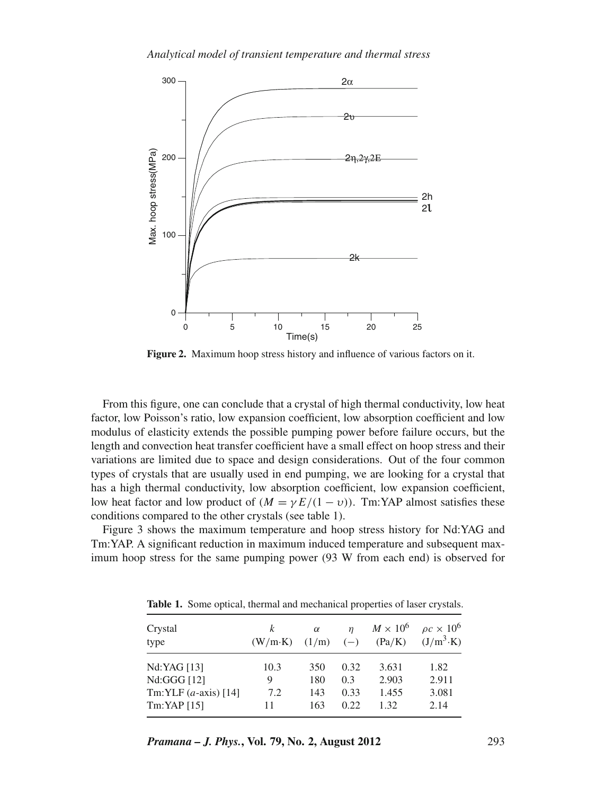

**Figure 2.** Maximum hoop stress history and influence of various factors on it.

From this figure, one can conclude that a crystal of high thermal conductivity, low heat factor, low Poisson's ratio, low expansion coefficient, low absorption coefficient and low modulus of elasticity extends the possible pumping power before failure occurs, but the length and convection heat transfer coefficient have a small effect on hoop stress and their variations are limited due to space and design considerations. Out of the four common types of crystals that are usually used in end pumping, we are looking for a crystal that has a high thermal conductivity, low absorption coefficient, low expansion coefficient, low heat factor and low product of  $(M = \gamma E/(1 - v))$ . Tm:YAP almost satisfies these conditions compared to the other crystals (see table 1).

Figure 3 shows the maximum temperature and hoop stress history for Nd:YAG and Tm:YAP. A significant reduction in maximum induced temperature and subsequent maximum hoop stress for the same pumping power (93 W from each end) is observed for

| Crystal<br>type        | k<br>(W/m·K) | $\alpha$ | $\eta$ | $M \times 10^6$ $\rho c \times 10^6$<br>$(1/m)$ (-) $(Pa/K)$ | $(J/m^3 \cdot K)$ |
|------------------------|--------------|----------|--------|--------------------------------------------------------------|-------------------|
| Nd: YAG [13]           | 10.3         | 350      | 0.32   | 3.631                                                        | 1.82              |
| Nd:GGG [12]            | 9            | 180      | 0.3    | 2.903                                                        | 2.911             |
| Tm:YLF $(a-axis)$ [14] | 7.2          | 143      | 0.33   | 1.455                                                        | 3.081             |
| Tm: YAP [15]           | 11           | 163      | 0.22   | 1.32                                                         | 2.14              |

**Table 1.** Some optical, thermal and mechanical properties of laser crystals.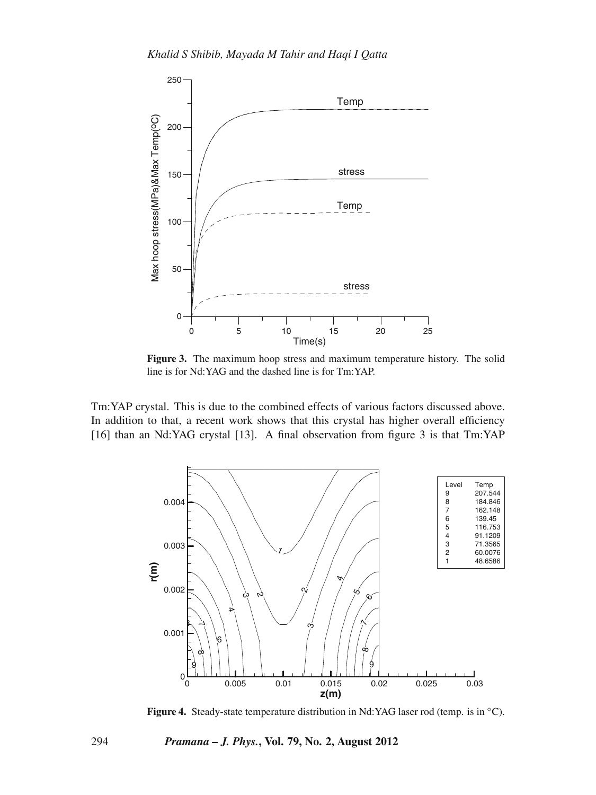

**Figure 3.** The maximum hoop stress and maximum temperature history. The solid line is for Nd:YAG and the dashed line is for Tm:YAP.

Tm:YAP crystal. This is due to the combined effects of various factors discussed above. In addition to that, a recent work shows that this crystal has higher overall efficiency [16] than an Nd:YAG crystal [13]. A final observation from figure 3 is that Tm:YAP



**Figure 4.** Steady-state temperature distribution in Nd:YAG laser rod (temp. is in ◦C).

294 *Pramana – J. Phys.***, Vol. 79, No. 2, August 2012**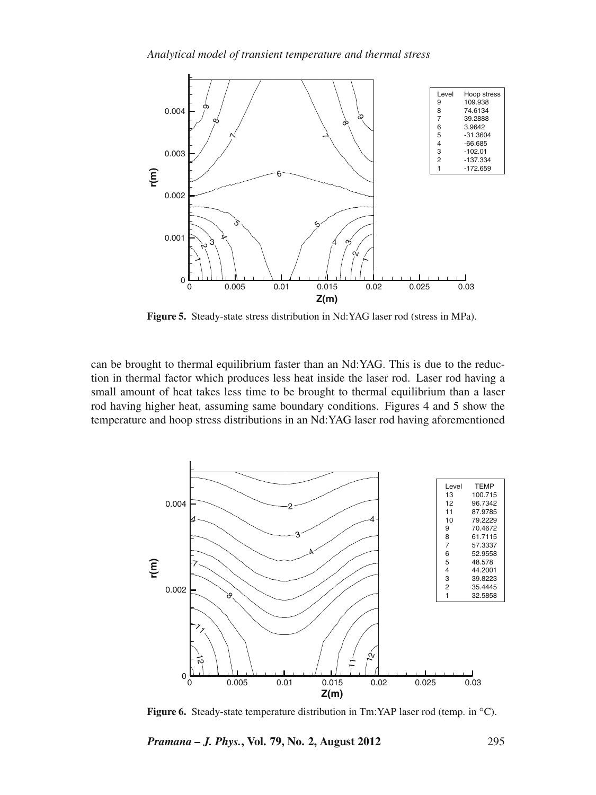

**Figure 5.** Steady-state stress distribution in Nd:YAG laser rod (stress in MPa).

can be brought to thermal equilibrium faster than an Nd:YAG. This is due to the reduction in thermal factor which produces less heat inside the laser rod. Laser rod having a small amount of heat takes less time to be brought to thermal equilibrium than a laser rod having higher heat, assuming same boundary conditions. Figures 4 and 5 show the temperature and hoop stress distributions in an Nd:YAG laser rod having aforementioned



**Figure 6.** Steady-state temperature distribution in Tm:YAP laser rod (temp. in ◦C).

*Pramana – J. Phys.***, Vol. 79, No. 2, August 2012** 295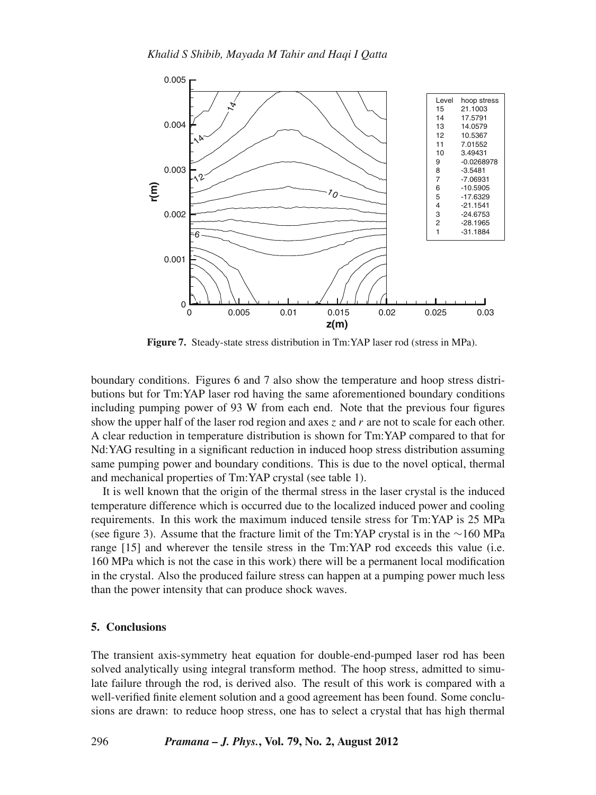

**Figure 7.** Steady-state stress distribution in Tm:YAP laser rod (stress in MPa).

boundary conditions. Figures 6 and 7 also show the temperature and hoop stress distributions but for Tm:YAP laser rod having the same aforementioned boundary conditions including pumping power of 93 W from each end. Note that the previous four figures show the upper half of the laser rod region and axes *z* and *r* are not to scale for each other. A clear reduction in temperature distribution is shown for Tm:YAP compared to that for Nd:YAG resulting in a significant reduction in induced hoop stress distribution assuming same pumping power and boundary conditions. This is due to the novel optical, thermal and mechanical properties of Tm:YAP crystal (see table 1).

It is well known that the origin of the thermal stress in the laser crystal is the induced temperature difference which is occurred due to the localized induced power and cooling requirements. In this work the maximum induced tensile stress for Tm:YAP is 25 MPa (see figure 3). Assume that the fracture limit of the Tm:YAP crystal is in the ∼160 MPa range [15] and wherever the tensile stress in the Tm:YAP rod exceeds this value (i.e. 160 MPa which is not the case in this work) there will be a permanent local modification in the crystal. Also the produced failure stress can happen at a pumping power much less than the power intensity that can produce shock waves.

#### **5. Conclusions**

The transient axis-symmetry heat equation for double-end-pumped laser rod has been solved analytically using integral transform method. The hoop stress, admitted to simulate failure through the rod, is derived also. The result of this work is compared with a well-verified finite element solution and a good agreement has been found. Some conclusions are drawn: to reduce hoop stress, one has to select a crystal that has high thermal